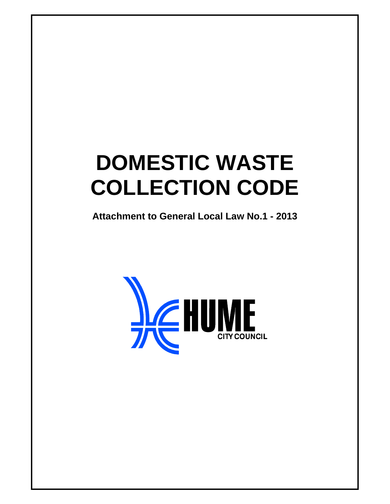# **DOMESTIC WASTE COLLECTION CODE**

**Attachment to General Local Law No.1 - 2013** 

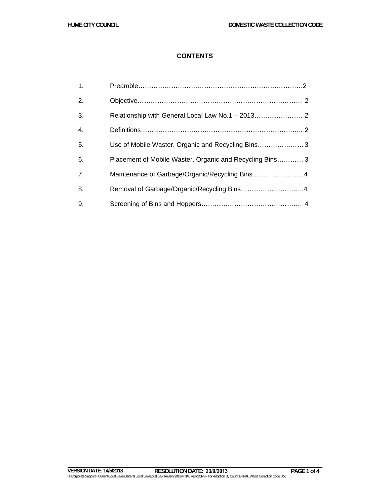# **CONTENTS**

| $\overline{1}$ . |                                                          |
|------------------|----------------------------------------------------------|
| 2.               |                                                          |
| 3.               |                                                          |
| $\overline{4}$ . |                                                          |
| 5.               | Use of Mobile Waster, Organic and Recycling Bins3        |
| 6.               | Placement of Mobile Waster, Organic and Recycling Bins 3 |
| 7 <sub>1</sub>   | Maintenance of Garbage/Organic/Recycling Bins4           |
| 8.               | Removal of Garbage/Organic/Recycling Bins4               |
| 9.               |                                                          |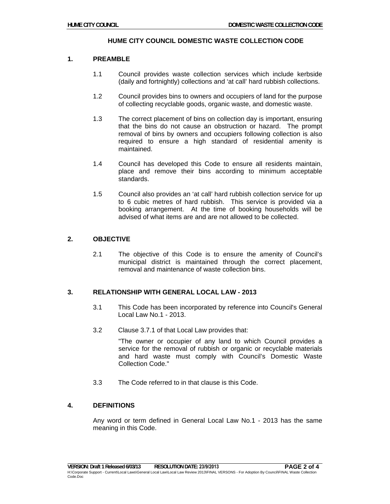## **HUME CITY COUNCIL DOMESTIC WASTE COLLECTION CODE**

## **1. PREAMBLE**

- 1.1 Council provides waste collection services which include kerbside (daily and fortnightly) collections and 'at call' hard rubbish collections.
- 1.2 Council provides bins to owners and occupiers of land for the purpose of collecting recyclable goods, organic waste, and domestic waste.
- 1.3 The correct placement of bins on collection day is important, ensuring that the bins do not cause an obstruction or hazard. The prompt removal of bins by owners and occupiers following collection is also required to ensure a high standard of residential amenity is maintained.
- 1.4 Council has developed this Code to ensure all residents maintain, place and remove their bins according to minimum acceptable standards.
- 1.5 Council also provides an 'at call' hard rubbish collection service for up to 6 cubic metres of hard rubbish. This service is provided via a booking arrangement. At the time of booking households will be advised of what items are and are not allowed to be collected.

# **2. OBJECTIVE**

2.1 The objective of this Code is to ensure the amenity of Council's municipal district is maintained through the correct placement, removal and maintenance of waste collection bins.

# **3. RELATIONSHIP WITH GENERAL LOCAL LAW - 2013**

- 3.1 This Code has been incorporated by reference into Council's General Local Law No.1 - 2013.
- 3.2 Clause 3.7.1 of that Local Law provides that:

"The owner or occupier of any land to which Council provides a service for the removal of rubbish or organic or recyclable materials and hard waste must comply with Council's Domestic Waste Collection Code."

3.3 The Code referred to in that clause is this Code.

# **4. DEFINITIONS**

Any word or term defined in General Local Law No.1 - 2013 has the same meaning in this Code.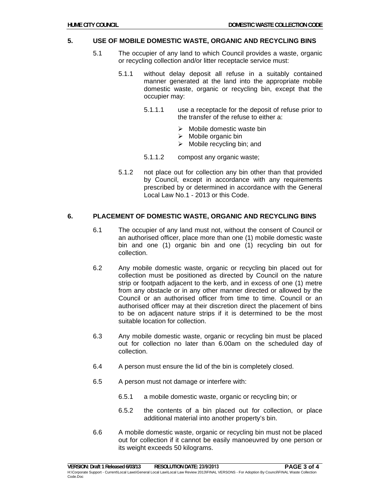#### **5. USE OF MOBILE DOMESTIC WASTE, ORGANIC AND RECYCLING BINS**

- 5.1 The occupier of any land to which Council provides a waste, organic or recycling collection and/or litter receptacle service must:
	- 5.1.1 without delay deposit all refuse in a suitably contained manner generated at the land into the appropriate mobile domestic waste, organic or recycling bin, except that the occupier may:
		- 5.1.1.1 use a receptacle for the deposit of refuse prior to the transfer of the refuse to either a:
			- $\triangleright$  Mobile domestic waste bin
			- $\triangleright$  Mobile organic bin
			- $\triangleright$  Mobile recycling bin; and
		- 5.1.1.2 compost any organic waste;
	- 5.1.2 not place out for collection any bin other than that provided by Council, except in accordance with any requirements prescribed by or determined in accordance with the General Local Law No.1 - 2013 or this Code.

#### **6. PLACEMENT OF DOMESTIC WASTE, ORGANIC AND RECYCLING BINS**

- 6.1 The occupier of any land must not, without the consent of Council or an authorised officer, place more than one (1) mobile domestic waste bin and one (1) organic bin and one (1) recycling bin out for collection.
- 6.2 Any mobile domestic waste, organic or recycling bin placed out for collection must be positioned as directed by Council on the nature strip or footpath adjacent to the kerb, and in excess of one (1) metre from any obstacle or in any other manner directed or allowed by the Council or an authorised officer from time to time. Council or an authorised officer may at their discretion direct the placement of bins to be on adjacent nature strips if it is determined to be the most suitable location for collection.
- 6.3 Any mobile domestic waste, organic or recycling bin must be placed out for collection no later than 6.00am on the scheduled day of collection.
- 6.4 A person must ensure the lid of the bin is completely closed.
- 6.5 A person must not damage or interfere with:
	- 6.5.1 a mobile domestic waste, organic or recycling bin; or
	- 6.5.2 the contents of a bin placed out for collection, or place additional material into another property's bin.
- 6.6 A mobile domestic waste, organic or recycling bin must not be placed out for collection if it cannot be easily manoeuvred by one person or its weight exceeds 50 kilograms.